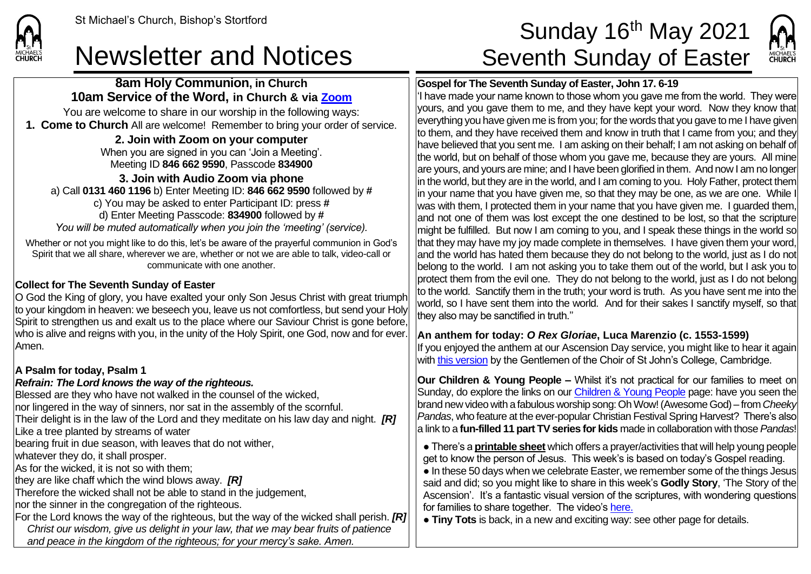**CHURCH** 

**8am Holy Communion, in Church**

**10am Service of the Word, in Church & via [Zoom](https://zoom.us/)** You are welcome to share in our worship in the following ways: **1. Come to Church** All are welcome! Remember to bring your order of service. **2. Join with Zoom on your computer** When you are signed in you can 'Join a Meeting'. Meeting ID **846 662 9590**, Passcode **834900 3. Join with Audio Zoom via phone**  a) Call **0131 460 1196** b) Enter Meeting ID: **846 662 9590** followed by **#** c) You may be asked to enter Participant ID: press **#** d) Enter Meeting Passcode: **834900** followed by **#** *You will be muted automatically when you join the 'meeting' (service).* Whether or not you might like to do this, let's be aware of the prayerful communion in God's Spirit that we all share, wherever we are, whether or not we are able to talk, video-call or communicate with one another. **Collect for The Seventh Sunday of Easter** O God the King of glory, you have exalted your only Son Jesus Christ with great triumph to your kingdom in heaven: we beseech you, leave us not comfortless, but send your Holy Spirit to strengthen us and exalt us to the place where our Saviour Christ is gone before, who is alive and reigns with you, in the unity of the Holy Spirit, one God, now and for ever. Amen. **A Psalm for today, Psalm 1** *Refrain: The Lord knows the way of the righteous.* Blessed are they who have not walked in the counsel of the wicked, nor lingered in the way of sinners, nor sat in the assembly of the scornful. Their delight is in the law of the Lord and they meditate on his law day and night. *[R]* Like a tree planted by streams of water bearing fruit in due season, with leaves that do not wither, whatever they do, it shall prosper. As for the wicked, it is not so with them; they are like chaff which the wind blows away. *[R]* Therefore the wicked shall not be able to stand in the judgement, nor the sinner in the congregation of the righteous. For the Lord knows the way of the righteous, but the way of the wicked shall perish. *[R] Christ our wisdom, give us delight in your law, that we may bear fruits of patience and peace in the kingdom of the righteous; for your mercy's sake. Amen.*

# St Michael's Church, Bishop's Stortford **Sunday 16<sup>th</sup> May 2021** Newsletter and Notices Seventh Sunday of Easter



## **Gospel for The Seventh Sunday of Easter, John 17. 6-19**

 $\vert$ 'I have made your name known to those whom you gave me from the world. They were yours, and you gave them to me, and they have kept your word. Now they know that everything you have given me is from you; for the words that you gave to me I have given to them, and they have received them and know in truth that I came from you; and they have believed that you sent me. I am asking on their behalf; I am not asking on behalf of the world, but on behalf of those whom you gave me, because they are yours. All mine lare vours, and vours are mine; and I have been glorified in them. And now I am no longer in the world, but they are in the world, and I am coming to you. Holy Father, protect them in your name that you have given me, so that they may be one, as we are one. While I was with them, I protected them in your name that you have given me. I guarded them, and not one of them was lost except the one destined to be lost, so that the scripture might be fulfilled. But now I am coming to you, and I speak these things in the world so that they may have my joy made complete in themselves. I have given them your word, and the world has hated them because they do not belong to the world, just as I do not belong to the world. I am not asking you to take them out of the world, but I ask you to protect them from the evil one. They do not belong to the world, just as I do not belong to the world. Sanctify them in the truth; your word is truth. As you have sent me into the world, so I have sent them into the world. And for their sakes I sanctify myself, so that they also may be sanctified in truth.''

### **An anthem for today:** *O Rex Gloriae***, Luca Marenzio (c. 1553-1599)**

If you enjoyed the anthem at our Ascension Day service, you might like to hear it again with [this version](https://www.sjcchoir.co.uk/listen/webcasts/ascension-day-festal-evensong) by the Gentlemen of the Choir of St John's College, Cambridge.

**Our Children & Young People –** Whilst it's not practical for our families to meet on Sunday, do explore the links on our [Children & Young People](https://saintmichaelweb.org.uk/Groups/310496/Children_and_Young.aspx) page: have you seen the brand new video with a fabulous worship song: Oh Wow! (Awesome God) – from *Cheeky Pandas*, who feature at the ever-popular Christian Festival Spring Harvest? There's also a link to a **fun-filled 11 part TV series for kids** made in collaboration with those *Pandas*!

● There's a **[printable sheet](https://saintmichaelweb.org.uk/Groups/310496/Children_and_Young.aspx)** which offers a prayer/activities that will help young people get to know the person of Jesus. This week's is based on today's Gospel reading. ● In these 50 days when we celebrate Easter, we remember some of the things Jesus said and did; so you might like to share in this week's **Godly Story**, 'The Story of the Ascension'. It's a fantastic visual version of the scriptures, with wondering questions for families to share together. The video'[s here.](https://www.youtube.com/watch?v=6PMtjO4N2a8)

● **Tiny Tots** is back, in a new and exciting way: see other page for details.